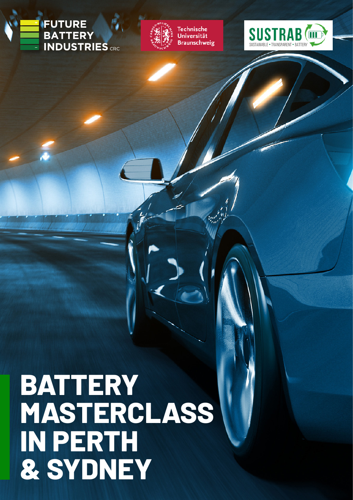# **IFUTURE BATTERY**<br>INDUSTRIES CRC



**Technische** Universität **Braunschweig** 



# **BATTERY MASTERCLASS IN PERTH & SYDNEY**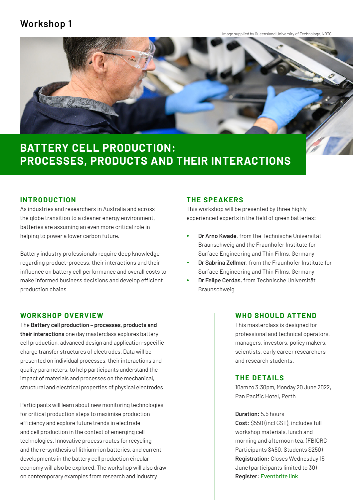### **Workshop 1**

Image supplied by Queensland University of Technology, NBTC.



# **BATTERY CELL PRODUCTION: PROCESSES, PRODUCTS AND THEIR INTERACTIONS**

#### **INTRODUCTION**

As industries and researchers in Australia and across the globe transition to a cleaner energy environment, batteries are assuming an even more critical role in helping to power a lower carbon future.

Battery industry professionals require deep knowledge regarding product-process, their interactions and their influence on battery cell performance and overall costs to make informed business decisions and develop efficient production chains.

#### **WORKSHOP OVERVIEW**

The **Battery cell production – processes, products and their interactions** one day masterclass explores battery cell production, advanced design and application-specific charge transfer structures of electrodes. Data will be presented on individual processes, their interactions and quality parameters, to help participants understand the impact of materials and processes on the mechanical, structural and electrical properties of physical electrodes.

Participants will learn about new monitoring technologies for critical production steps to maximise production efficiency and explore future trends in electrode and cell production in the context of emerging cell technologies. Innovative process routes for recycling and the re-synthesis of lithium-ion batteries, and current developments in the battery cell production circular economy will also be explored. The workshop will also draw on contemporary examples from research and industry.

#### **THE SPEAKERS**

This workshop will be presented by three highly experienced experts in the field of green batteries:

- **Dr Arno Kwade**, from the Technische Universität Braunschweig and the Fraunhofer Institute for Surface Engineering and Thin Films, Germany
- **Dr Sabrina Zellmer**, from the Fraunhofer Institute for Surface Engineering and Thin Films, Germany
- y **Dr Felipe Cerdas**, from Technische Universität Braunschweig

#### **WHO SHOULD ATTEND**

This masterclass is designed for professional and technical operators, managers, investors, policy makers, scientists, early career researchers and research students.

#### **THE DETAILS**

10am to 3:30pm, Monday 20 June 2022, Pan Pacific Hotel, Perth

**Duration:** 5.5 hours

**Cost:** \$550 (incl GST), includes full workshop materials, lunch and morning and afternoon tea. (FBICRC Participants \$450, Students \$250) **Registration:** Closes Wednesday 15 June (participants limited to 30) **Register:** [Eventbrite link](https://www.eventbrite.com.au/e/350180197397)